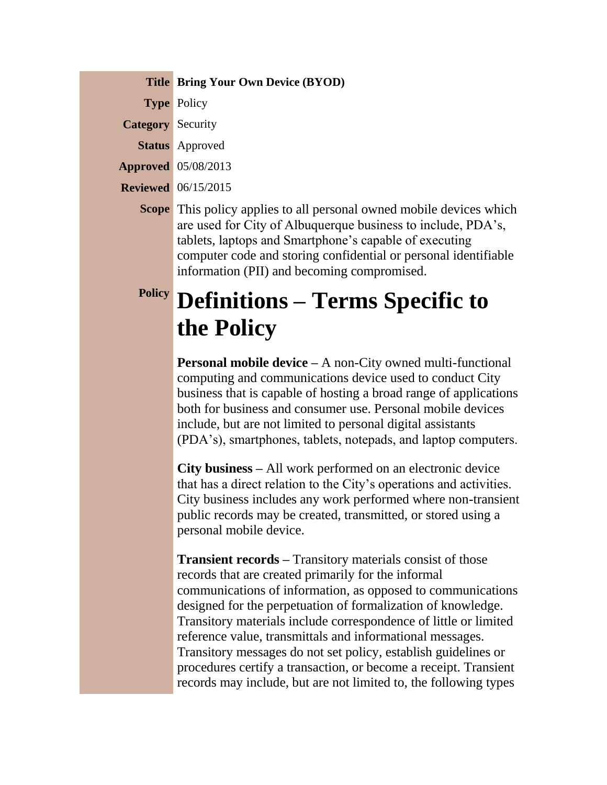**Title Bring Your Own Device (BYOD)**

**Type** Policy

**Category** Security

**Status** Approved

**Approved** 05/08/2013

**Reviewed** 06/15/2015

**Scope** This policy applies to all personal owned mobile devices which are used for City of Albuquerque business to include, PDA's, tablets, laptops and Smartphone's capable of executing computer code and storing confidential or personal identifiable information (PII) and becoming compromised.

### **Policy Definitions – Terms Specific to the Policy**

**Personal mobile device –** A non-City owned multi-functional computing and communications device used to conduct City business that is capable of hosting a broad range of applications both for business and consumer use. Personal mobile devices include, but are not limited to personal digital assistants (PDA's), smartphones, tablets, notepads, and laptop computers.

**City business –** All work performed on an electronic device that has a direct relation to the City's operations and activities. City business includes any work performed where non-transient public records may be created, transmitted, or stored using a personal mobile device.

**Transient records –** Transitory materials consist of those records that are created primarily for the informal communications of information, as opposed to communications designed for the perpetuation of formalization of knowledge. Transitory materials include correspondence of little or limited reference value, transmittals and informational messages. Transitory messages do not set policy, establish guidelines or procedures certify a transaction, or become a receipt. Transient records may include, but are not limited to, the following types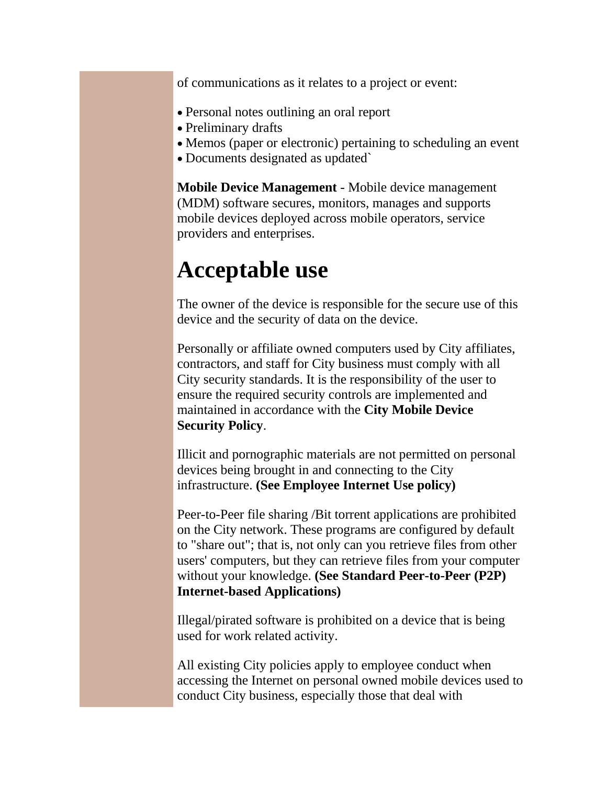of communications as it relates to a project or event:

- Personal notes outlining an oral report
- Preliminary drafts
- Memos (paper or electronic) pertaining to scheduling an event
- Documents designated as updated

**Mobile Device Management** - Mobile device management (MDM) software secures, monitors, manages and supports mobile devices deployed across mobile operators, service providers and enterprises.

### **Acceptable use**

The owner of the device is responsible for the secure use of this device and the security of data on the device.

Personally or affiliate owned computers used by City affiliates, contractors, and staff for City business must comply with all City security standards. It is the responsibility of the user to ensure the required security controls are implemented and maintained in accordance with the **City Mobile Device Security Policy**.

Illicit and pornographic materials are not permitted on personal devices being brought in and connecting to the City infrastructure. **(See Employee Internet Use policy)**

Peer-to-Peer file sharing /Bit torrent applications are prohibited on the City network. These programs are configured by default to "share out"; that is, not only can you retrieve files from other users' computers, but they can retrieve files from your computer without your knowledge. **(See Standard Peer-to-Peer (P2P) Internet-based Applications)**

Illegal/pirated software is prohibited on a device that is being used for work related activity.

All existing City policies apply to employee conduct when accessing the Internet on personal owned mobile devices used to conduct City business, especially those that deal with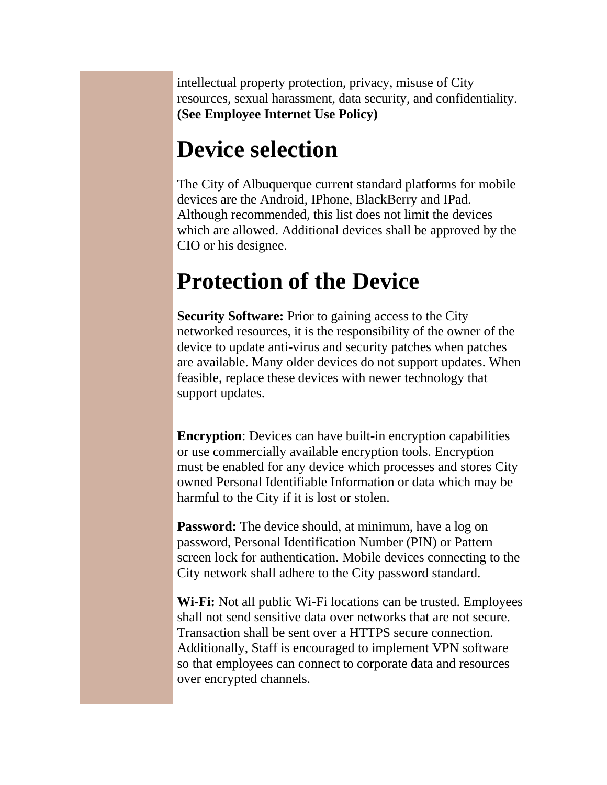intellectual property protection, privacy, misuse of City resources, sexual harassment, data security, and confidentiality. **(See Employee Internet Use Policy)**

### **Device selection**

The City of Albuquerque current standard platforms for mobile devices are the Android, IPhone, BlackBerry and IPad. Although recommended, this list does not limit the devices which are allowed. Additional devices shall be approved by the CIO or his designee.

### **Protection of the Device**

**Security Software:** Prior to gaining access to the City networked resources, it is the responsibility of the owner of the device to update anti-virus and security patches when patches are available. Many older devices do not support updates. When feasible, replace these devices with newer technology that support updates.

**Encryption**: Devices can have built-in encryption capabilities or use commercially available encryption tools. Encryption must be enabled for any device which processes and stores City owned Personal Identifiable Information or data which may be harmful to the City if it is lost or stolen.

**Password:** The device should, at minimum, have a log on password, Personal Identification Number (PIN) or Pattern screen lock for authentication. Mobile devices connecting to the City network shall adhere to the City password standard.

**Wi-Fi:** Not all public Wi-Fi locations can be trusted. Employees shall not send sensitive data over networks that are not secure. Transaction shall be sent over a HTTPS secure connection. Additionally, Staff is encouraged to implement VPN software so that employees can connect to corporate data and resources over encrypted channels.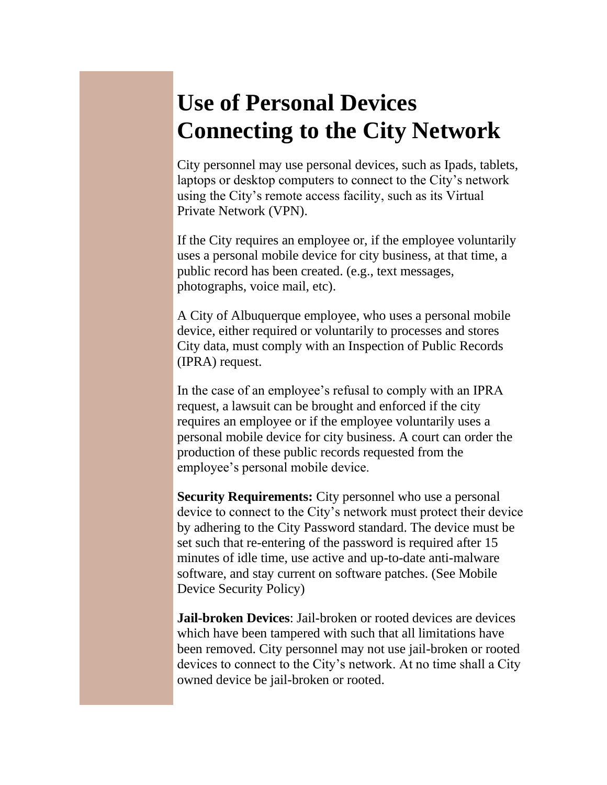### **Use of Personal Devices Connecting to the City Network**

City personnel may use personal devices, such as Ipads, tablets, laptops or desktop computers to connect to the City's network using the City's remote access facility, such as its Virtual Private Network (VPN).

If the City requires an employee or, if the employee voluntarily uses a personal mobile device for city business, at that time, a public record has been created. (e.g., text messages, photographs, voice mail, etc).

A City of Albuquerque employee, who uses a personal mobile device, either required or voluntarily to processes and stores City data, must comply with an Inspection of Public Records (IPRA) request.

In the case of an employee's refusal to comply with an IPRA request, a lawsuit can be brought and enforced if the city requires an employee or if the employee voluntarily uses a personal mobile device for city business. A court can order the production of these public records requested from the employee's personal mobile device.

**Security Requirements:** City personnel who use a personal device to connect to the City's network must protect their device by adhering to the City Password standard. The device must be set such that re-entering of the password is required after 15 minutes of idle time, use active and up-to-date anti-malware software, and stay current on software patches. (See Mobile Device Security Policy)

**Jail-broken Devices**: Jail-broken or rooted devices are devices which have been tampered with such that all limitations have been removed. City personnel may not use jail-broken or rooted devices to connect to the City's network. At no time shall a City owned device be jail-broken or rooted.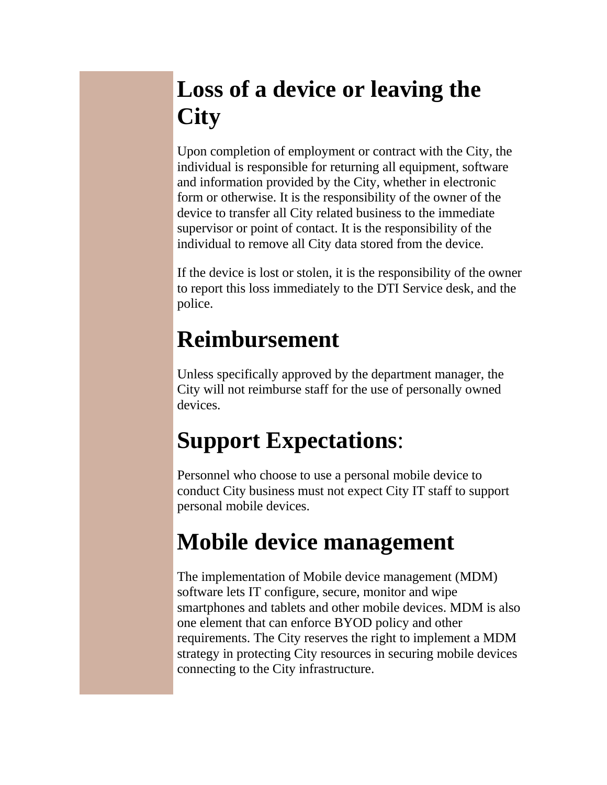## **Loss of a device or leaving the City**

Upon completion of employment or contract with the City, the individual is responsible for returning all equipment, software and information provided by the City, whether in electronic form or otherwise. It is the responsibility of the owner of the device to transfer all City related business to the immediate supervisor or point of contact. It is the responsibility of the individual to remove all City data stored from the device.

If the device is lost or stolen, it is the responsibility of the owner to report this loss immediately to the DTI Service desk, and the police.

### **Reimbursement**

Unless specifically approved by the department manager, the City will not reimburse staff for the use of personally owned devices.

# **Support Expectations**:

Personnel who choose to use a personal mobile device to conduct City business must not expect City IT staff to support personal mobile devices.

## **Mobile device management**

The implementation of Mobile device management (MDM) software lets IT configure, secure, monitor and wipe smartphones and tablets and other mobile devices. MDM is also one element that can enforce BYOD policy and other requirements. The City reserves the right to implement a MDM strategy in protecting City resources in securing mobile devices connecting to the City infrastructure.